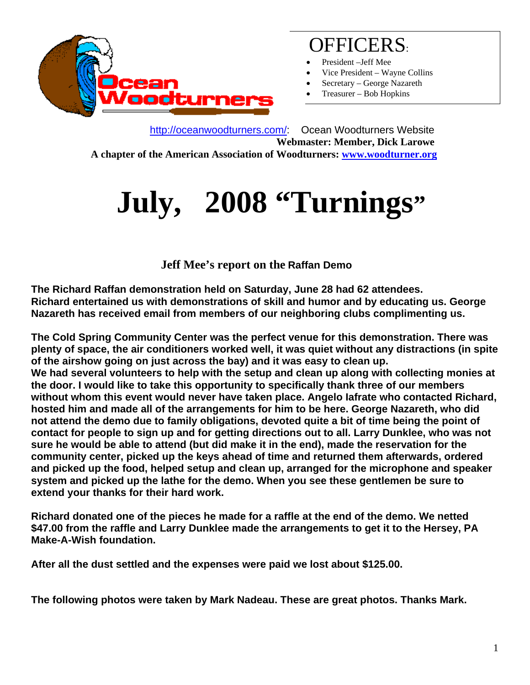

## OFFICERS:

- President –Jeff Mee
- Vice President Wayne Collins
- Secretary George Nazareth
- Treasurer Bob Hopkins

 http://oceanwoodturners.com/: Ocean Woodturners Website **Webmaster: Member, Dick Larowe A chapter of the American Association of Woodturners: www.woodturner.org** 

# **July, 2008 "Turnings"**

 **Jeff Mee's report on the Raffan Demo** 

**The Richard Raffan demonstration held on Saturday, June 28 had 62 attendees. Richard entertained us with demonstrations of skill and humor and by educating us. George Nazareth has received email from members of our neighboring clubs complimenting us.** 

**The Cold Spring Community Center was the perfect venue for this demonstration. There was plenty of space, the air conditioners worked well, it was quiet without any distractions (in spite of the airshow going on just across the bay) and it was easy to clean up. We had several volunteers to help with the setup and clean up along with collecting monies at the door. I would like to take this opportunity to specifically thank three of our members without whom this event would never have taken place. Angelo Iafrate who contacted Richard, hosted him and made all of the arrangements for him to be here. George Nazareth, who did not attend the demo due to family obligations, devoted quite a bit of time being the point of contact for people to sign up and for getting directions out to all. Larry Dunklee, who was not sure he would be able to attend (but did make it in the end), made the reservation for the community center, picked up the keys ahead of time and returned them afterwards, ordered and picked up the food, helped setup and clean up, arranged for the microphone and speaker system and picked up the lathe for the demo. When you see these gentlemen be sure to extend your thanks for their hard work.** 

**Richard donated one of the pieces he made for a raffle at the end of the demo. We netted \$47.00 from the raffle and Larry Dunklee made the arrangements to get it to the Hersey, PA Make-A-Wish foundation.** 

**After all the dust settled and the expenses were paid we lost about \$125.00.** 

**The following photos were taken by Mark Nadeau. These are great photos. Thanks Mark.**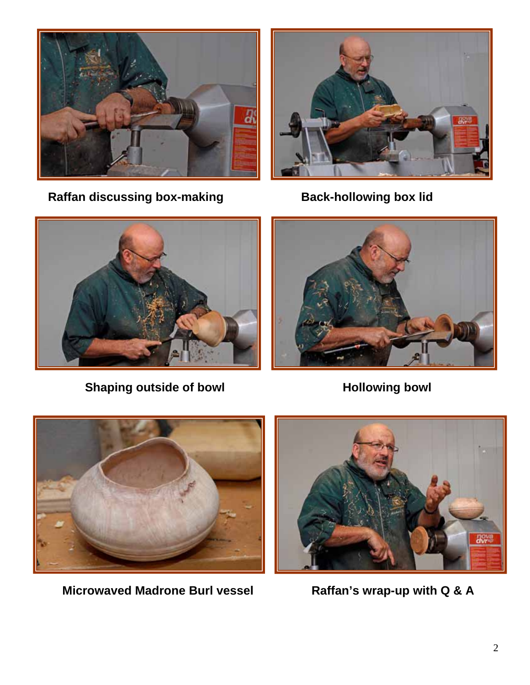

Raffan discussing box-making **Back-hollowing box lid** 





**Shaping outside of bowl <b>Franch** Hollowing bowl





Microwaved Madrone Burl vessel Raffan's wrap-up with Q & A

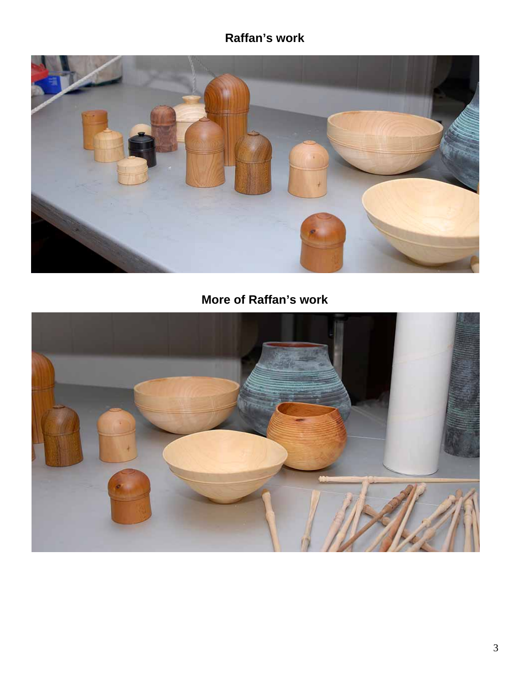#### **Raffan's work**



### **More of Raffan's work**